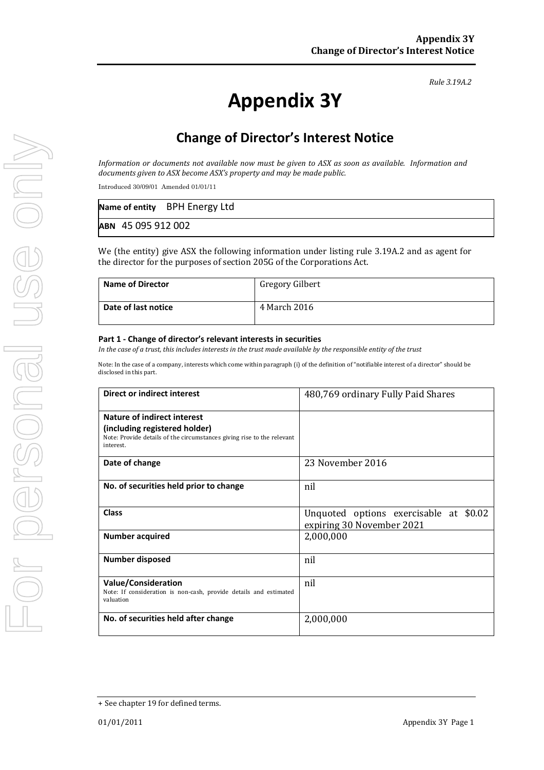#### *Rule 3.19A.2*

# **Appendix 3Y**

# **Change of Director's Interest Notice**

Information or documents not available now must be given to ASX as soon as available. Information and *documents given to ASX become ASX's property and may be made public.*

Introduced 30/09/01 Amended 01/01/11

|                    | Name of entity BPH Energy Ltd |  |
|--------------------|-------------------------------|--|
| ABN 45 095 912 002 |                               |  |

We (the entity) give ASX the following information under listing rule 3.19A.2 and as agent for the director for the purposes of section 205G of the Corporations Act.

| <b>Name of Director</b> | Gregory Gilbert |
|-------------------------|-----------------|
| Date of last notice     | 4 March 2016    |

#### **Part 1 ‐ Change of director's relevant interests in securities**

In the case of a trust, this includes interests in the trust made available by the responsible entity of the trust

Note: In the case of a company, interests which come within paragraph (i) of the definition of "notifiable interest of a director" should be disclosed in this part.

| Direct or indirect interest                                                                                                                         | 480,769 ordinary Fully Paid Shares                                  |
|-----------------------------------------------------------------------------------------------------------------------------------------------------|---------------------------------------------------------------------|
| Nature of indirect interest<br>(including registered holder)<br>Note: Provide details of the circumstances giving rise to the relevant<br>interest. |                                                                     |
| Date of change                                                                                                                                      | 23 November 2016                                                    |
| No. of securities held prior to change                                                                                                              | nil                                                                 |
| <b>Class</b>                                                                                                                                        | Unquoted options exercisable at \$0.02<br>expiring 30 November 2021 |
| <b>Number acquired</b>                                                                                                                              | 2,000,000                                                           |
| <b>Number disposed</b>                                                                                                                              | nil                                                                 |
| <b>Value/Consideration</b><br>Note: If consideration is non-cash, provide details and estimated<br>valuation                                        | nil                                                                 |
| No. of securities held after change                                                                                                                 | 2,000,000                                                           |

<sup>+</sup> See chapter 19 for defined terms.